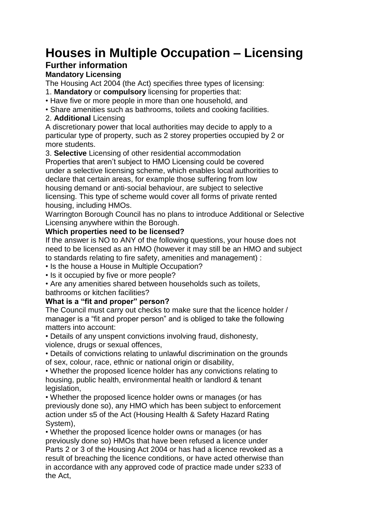# **Houses in Multiple Occupation – Licensing**

## **Further information**

### **Mandatory Licensing**

The Housing Act 2004 (the Act) specifies three types of licensing:

- 1. **Mandatory** or **compulsory** licensing for properties that:
- Have five or more people in more than one household, and

• Share amenities such as bathrooms, toilets and cooking facilities.

#### 2. **Additional** Licensing

A discretionary power that local authorities may decide to apply to a particular type of property, such as 2 storey properties occupied by 2 or more students.

3. **Selective** Licensing of other residential accommodation Properties that aren't subject to HMO Licensing could be covered under a selective licensing scheme, which enables local authorities to declare that certain areas, for example those suffering from low housing demand or anti-social behaviour, are subject to selective licensing. This type of scheme would cover all forms of private rented housing, including HMOs.

Warrington Borough Council has no plans to introduce Additional or Selective Licensing anywhere within the Borough.

#### **Which properties need to be licensed?**

If the answer is NO to ANY of the following questions, your house does not need to be licensed as an HMO (however it may still be an HMO and subject to standards relating to fire safety, amenities and management) :

- Is the house a House in Multiple Occupation?
- Is it occupied by five or more people?

• Are any amenities shared between households such as toilets, bathrooms or kitchen facilities?

#### **What is a "fit and proper" person?**

The Council must carry out checks to make sure that the licence holder / manager is a "fit and proper person" and is obliged to take the following matters into account:

• Details of any unspent convictions involving fraud, dishonesty, violence, drugs or sexual offences,

• Details of convictions relating to unlawful discrimination on the grounds of sex, colour, race, ethnic or national origin or disability,

• Whether the proposed licence holder has any convictions relating to housing, public health, environmental health or landlord & tenant legislation,

• Whether the proposed licence holder owns or manages (or has previously done so), any HMO which has been subject to enforcement action under s5 of the Act (Housing Health & Safety Hazard Rating System),

• Whether the proposed licence holder owns or manages (or has previously done so) HMOs that have been refused a licence under Parts 2 or 3 of the Housing Act 2004 or has had a licence revoked as a result of breaching the licence conditions, or have acted otherwise than in accordance with any approved code of practice made under s233 of the Act,